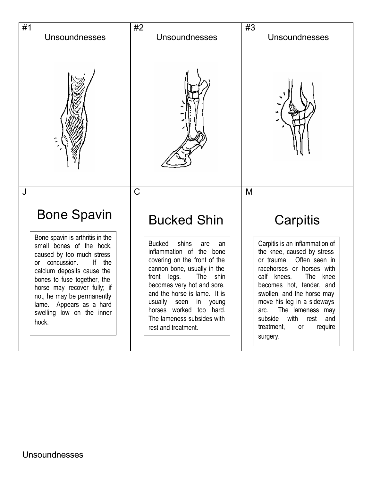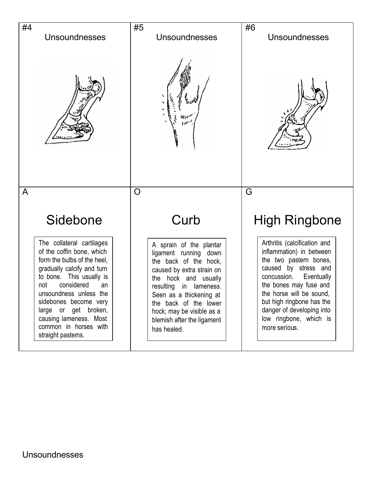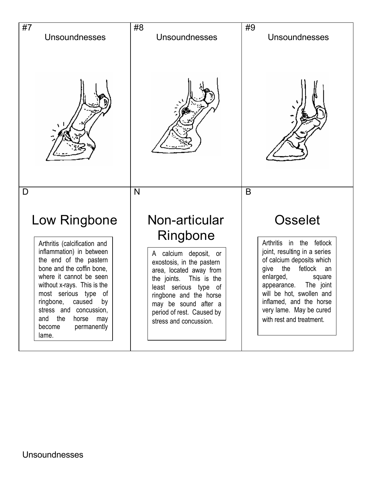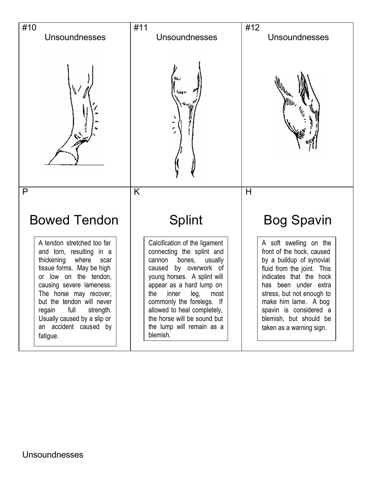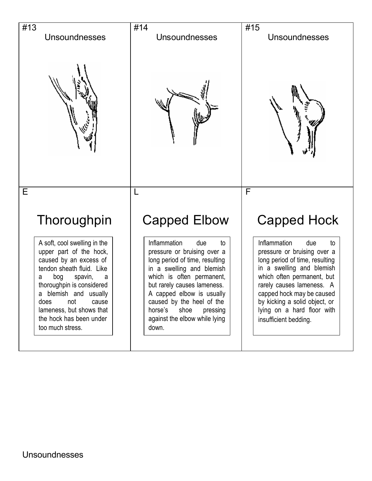